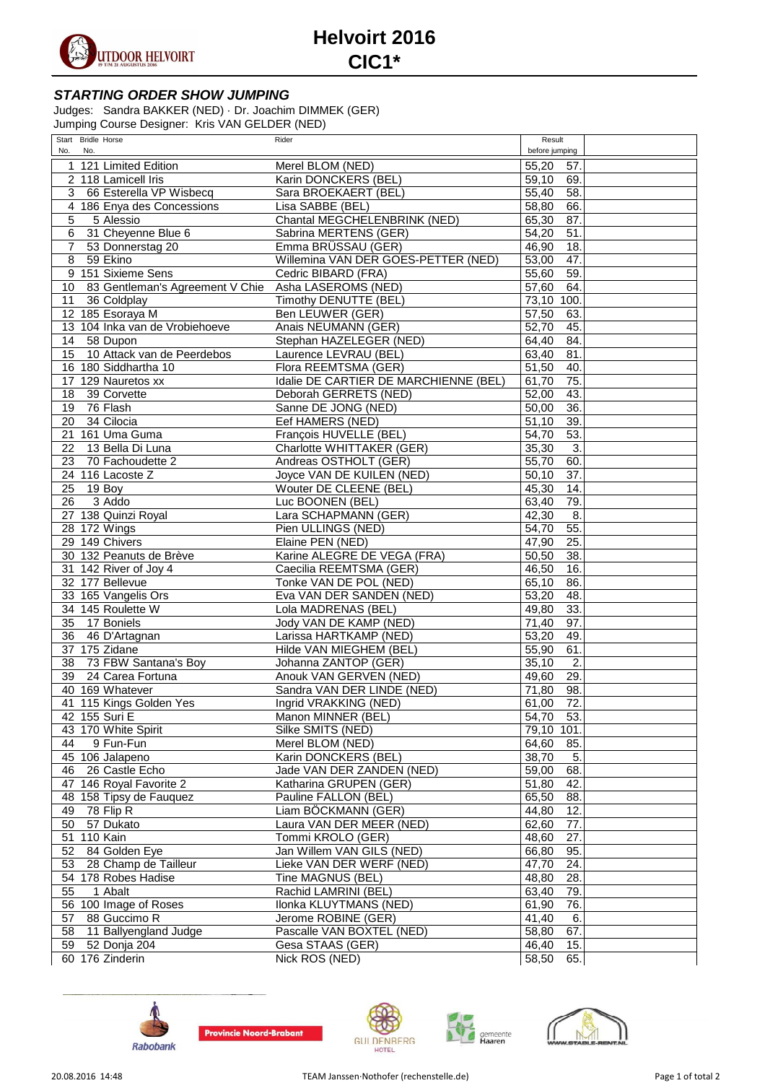

## **Helvoirt 2016 CIC1\***

## **STARTING ORDER SHOW JUMPING**

Judges: Sandra BAKKER (NED) · Dr. Joachim DIMMEK (GER) Jumping Course Designer: Kris VAN GELDER (NED)

| Start Bridle Horse                    | Rider                                 | Result                    |  |
|---------------------------------------|---------------------------------------|---------------------------|--|
| No.<br>No.                            |                                       | before jumping            |  |
| 1 121 Limited Edition                 | Merel BLOM (NED)                      | 55,20<br>57.              |  |
| 2 118 Lamicell Iris                   | Karin DONCKERS (BEL)                  | 59,10<br>69.              |  |
| 3 66 Esterella VP Wisbecq             |                                       |                           |  |
|                                       | Sara BROEKAERT (BEL)                  | 55,40<br>58.              |  |
| 4 186 Enya des Concessions            | Lisa SABBE (BEL)                      | 58,80<br>66.              |  |
| 5<br>5 Alessio                        | Chantal MEGCHELENBRINK (NED)          | 65,30<br>87.              |  |
| $\overline{6}$<br>31 Cheyenne Blue 6  | Sabrina MERTENS (GER)                 | 54,20<br>51.              |  |
| $\overline{7}$<br>53 Donnerstag 20    | Emma BRÜSSAU (GER)                    | 46,90<br>18.              |  |
| $\overline{8}$<br>59 Ekino            | Willemina VAN DER GOES-PETTER (NED)   | 47.<br>53,00              |  |
| 151 Sixieme Sens<br>9                 | Cedric BIBARD (FRA)                   | 55,60<br>59.              |  |
| 83 Gentleman's Agreement V Chie<br>10 | Asha LASEROMS (NED)                   | 57,60<br>64.              |  |
| 11<br>36 Coldplay                     | Timothy DENUTTE (BEL)                 | 73,10 100.                |  |
| 12 185 Esoraya M                      | Ben LEUWER (GER)                      | 57,50<br>63.              |  |
| 13 104 Inka van de Vrobiehoeve        | Anais NEUMANN (GER)                   | 45.<br>52,70              |  |
| 58 Dupon<br>14                        | Stephan HAZELEGER (NED)               | 84.<br>64,40              |  |
| 10 Attack van de Peerdebos<br>15      | Laurence LEVRAU (BEL)                 | 63,40<br>81.              |  |
| 16 180 Siddhartha 10                  | Flora REEMTSMA (GER)                  | 51,50<br>40.              |  |
|                                       |                                       |                           |  |
| 129 Nauretos xx<br>17                 | Idalie DE CARTIER DE MARCHIENNE (BEL) | 75.<br>61,70              |  |
| 39 Corvette<br>18                     | Deborah GERRETS (NED)                 | 43.<br>52,00              |  |
| 19<br>76 Flash                        | Sanne DE JONG (NED)                   | 36.<br>50,00              |  |
| 34 Cilocia<br>20                      | Eef HAMERS (NED)                      | 39.<br>51,10              |  |
| 21 161 Uma Guma                       | François HUVELLE (BEL)                | 53.<br>54,70              |  |
| 13 Bella Di Luna<br>22                | Charlotte WHITTAKER (GER)             | 3.<br>35,30               |  |
| 23<br>70 Fachoudette 2                | Andreas OSTHOLT (GER)                 | 55,70<br>60.              |  |
| 24 116 Lacoste Z                      | Joyce VAN DE KUILEN (NED)             | 37.<br>50,10              |  |
| 25<br>$19$ Boy                        | Wouter DE CLEENE (BEL)                | 45,30<br>14.              |  |
| 3 Addo<br>26                          | Luc BOONEN (BEL)                      | 79.<br>63,40              |  |
| 27 138 Quinzi Royal                   | Lara SCHAPMANN (GER)                  | $\overline{42,30}$<br>8.  |  |
| 28 172 Wings                          | Pien ULLINGS (NED)                    | 55.<br>54,70              |  |
| 29 149 Chivers                        | Elaine PEN (NED)                      | 25.<br>47,90              |  |
| 30 132 Peanuts de Brève               | Karine ALEGRE DE VEGA (FRA)           | 38.<br>50,50              |  |
| 31 142 River of Joy 4                 | Caecilia REEMTSMA (GER)               | 16.<br>46,50              |  |
| 32 177 Bellevue                       |                                       | 86.                       |  |
|                                       | Tonke VAN DE POL (NED)                | 65,10                     |  |
| 33 165 Vangelis Ors                   | Eva VAN DER SANDEN (NED)              | 53,20<br>48.              |  |
| 34 145 Roulette W                     | Lola MADRENAS (BEL)                   | 33.<br>49,80              |  |
| 35<br>17 Boniels                      | Jody VAN DE KAMP (NED)                | 97.<br>71,40              |  |
| 36<br>46 D'Artagnan                   | Larissa HARTKAMP (NED)                | 53,20<br>49.              |  |
| 37 175 Zidane                         | Hilde VAN MIEGHEM (BEL)               | 55,90<br>61.              |  |
| 73 FBW Santana's Boy<br>38            | Johanna ZANTOP (GER)                  | 35,10<br>2.               |  |
| 39<br>24 Carea Fortuna                | Anouk VAN GERVEN (NED)                | 49,60<br>29.              |  |
| 40 169 Whatever                       | Sandra VAN DER LINDE (NED)            | 71,80<br>98.              |  |
| 41 115 Kings Golden Yes               | Ingrid VRAKKING (NED)                 | 72.<br>61,00              |  |
| 42 155 Suri E                         | Manon MINNER (BEL)                    | 54,70<br>53.              |  |
| 43 170 White Spirit                   | Silke SMITS (NED)                     | 79,10 101.                |  |
| 9 Fun-Fun<br>44                       | Merel BLOM (NED)                      | 64,60<br>85.              |  |
| 45 106 Jalapeno                       | Karin DONCKERS (BEL)                  | $\overline{5}$ .<br>38,70 |  |
| 26 Castle Echo<br>46                  | Jade VAN DER ZANDEN (NED)             | $\overline{59,00}$<br>68. |  |
| 47 146 Royal Favorite 2               | Katharina GRUPEN (GER)                | 51,80<br>42.              |  |
| 48 158 Tipsy de Fauquez               | Pauline FALLON (BEL)                  | 65,50<br>88.              |  |
| 78 Flip R<br>49                       | Liam BÖCKMANN (GER)                   | 44,80<br>12.              |  |
| 50<br>57 Dukato                       | Laura VAN DER MEER (NED)              | 62,60<br>77.              |  |
|                                       |                                       |                           |  |
| 51 110 Kain                           | Tommi KROLO (GER)                     | 48,60<br>27.              |  |
| 52<br>84 Golden Eye                   | Jan Willem VAN GILS (NED)             | 66,80<br>95.              |  |
| 53<br>28 Champ de Tailleur            | Lieke VAN DER WERF (NED)              | 47,70<br>24.              |  |
| 54 178 Robes Hadise                   | Tine MAGNUS (BEL)                     | 48,80<br>28.              |  |
| 55<br>1 Abalt                         | Rachid LAMRINI (BEL)                  | 63,40<br>79.              |  |
| 56 100 Image of Roses                 | Ilonka KLUYTMANS (NED)                | 76.<br>61,90              |  |
| 88 Guccimo R<br>57                    | Jerome ROBINE (GER)                   | 41,40<br>6.               |  |
| 58 11 Ballyengland Judge              | Pascalle VAN BOXTEL (NED)             | 58,80<br>67.              |  |
| 59 52 Donja 204                       | Gesa STAAS (GER)                      | 15.<br>46,40              |  |
| 60 176 Zinderin                       | Nick ROS (NED)                        | 58,50<br>65.              |  |
|                                       |                                       |                           |  |